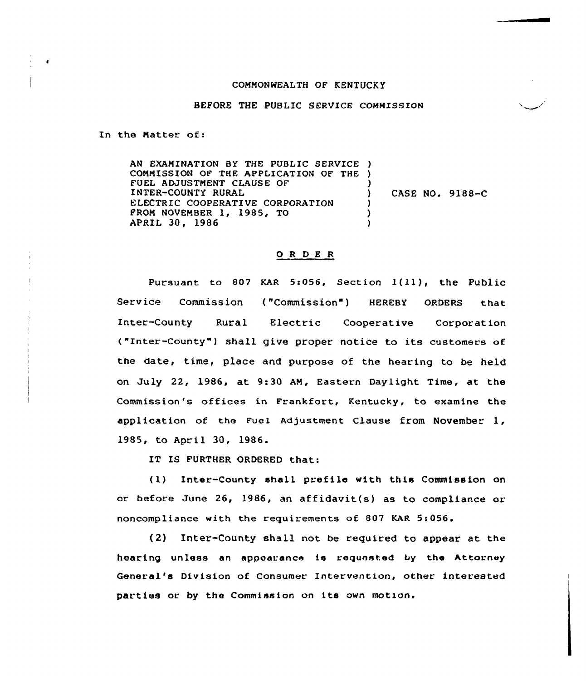## COMMONWEALTH OF KENTUCKY

## BEFORE THE PUBLIC SERVICE COMMISSION

In the Natter of:

AN EXAMINATION BY THE PUBLIC SERVICE ) CONNISSION OF THE APPLICATION OF THE ) FUEL ADJUSTMENT CLAUSE OF INTER-COUNTY RURAL ELECTRIC COOPERATIVE CORPORATION FRON NOVEMBER 1, 1985, TO APRIL 30, 1986 ) ) CASE NO. 9188-C ) ) )

## 0 <sup>R</sup> <sup>D</sup> E <sup>R</sup>

Pursuant to <sup>807</sup> KAR 5:056, section l(ll), the Public Service Commission ("Commission" ) HEREBY ORDERS that Inter-County Rural Electric Cooperative Corporation ("Inter-County" ) shall give proper notice to its customers of the date, time, place and purpose of the hearing to be held on July 22, 1986, at 9:30 AN, Eastern Daylight Time, at the Commission's offices in Frankfort, Kentucky, to examine the application of the Fuel Adjustment Clause from November 1, 1985, to April 30, 1986.

IT IS FURTHER ORDERED that:

(1) Inter-County shall prefile with this Commission on or before June 26, 1986, an affidavit(s) as to compliance or noncompliance with the requirements of 807 KAR 5:056.

(2) Inter-County shall not be required to appear at the hearing unless an appearance is requested by the Attorney General's Division of Consumer Intervention, other interested parties or by the Commission on its own motion.